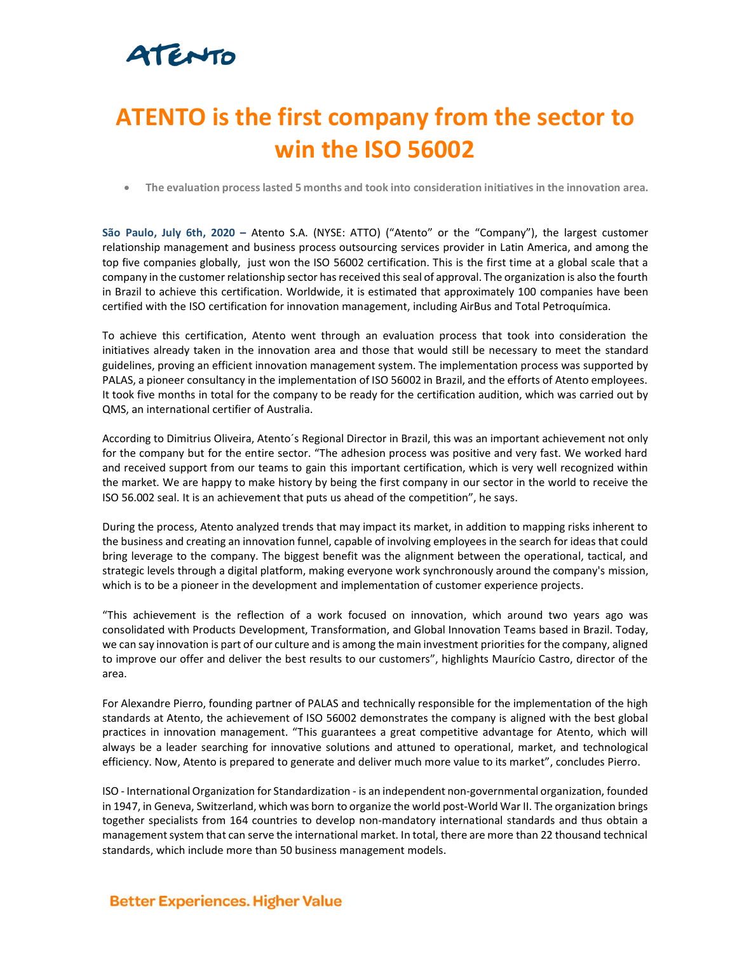## ATENTO

## **ATENTO is the first company from the sector to win the ISO 56002**

• **The evaluation process lasted 5 months and took into consideration initiatives in the innovation area.** 

**São Paulo, July 6th, 2020 –** Atento S.A. (NYSE: ATTO) ("Atento" or the "Company"), the largest customer relationship management and business process outsourcing services provider in Latin America, and among the top five companies globally, just won the ISO 56002 certification. This is the first time at a global scale that a company in the customer relationship sector has received this seal of approval. The organization is also the fourth in Brazil to achieve this certification. Worldwide, it is estimated that approximately 100 companies have been certified with the ISO certification for innovation management, including AirBus and Total Petroquímica.

To achieve this certification, Atento went through an evaluation process that took into consideration the initiatives already taken in the innovation area and those that would still be necessary to meet the standard guidelines, proving an efficient innovation management system. The implementation process was supported by PALAS, a pioneer consultancy in the implementation of ISO 56002 in Brazil, and the efforts of Atento employees. It took five months in total for the company to be ready for the certification audition, which was carried out by QMS, an international certifier of Australia.

According to Dimitrius Oliveira, Atento´s Regional Director in Brazil, this was an important achievement not only for the company but for the entire sector. "The adhesion process was positive and very fast. We worked hard and received support from our teams to gain this important certification, which is very well recognized within the market. We are happy to make history by being the first company in our sector in the world to receive the ISO 56.002 seal. It is an achievement that puts us ahead of the competition", he says.

During the process, Atento analyzed trends that may impact its market, in addition to mapping risks inherent to the business and creating an innovation funnel, capable of involving employees in the search for ideas that could bring leverage to the company. The biggest benefit was the alignment between the operational, tactical, and strategic levels through a digital platform, making everyone work synchronously around the company's mission, which is to be a pioneer in the development and implementation of customer experience projects.

"This achievement is the reflection of a work focused on innovation, which around two years ago was consolidated with Products Development, Transformation, and Global Innovation Teams based in Brazil. Today, we can say innovation is part of our culture and is among the main investment priorities for the company, aligned to improve our offer and deliver the best results to our customers", highlights Maurício Castro, director of the area.

For Alexandre Pierro, founding partner of PALAS and technically responsible for the implementation of the high standards at Atento, the achievement of ISO 56002 demonstrates the company is aligned with the best global practices in innovation management. "This guarantees a great competitive advantage for Atento, which will always be a leader searching for innovative solutions and attuned to operational, market, and technological efficiency. Now, Atento is prepared to generate and deliver much more value to its market", concludes Pierro.

ISO - International Organization for Standardization - is an independent non-governmental organization, founded in 1947, in Geneva, Switzerland, which was born to organize the world post-World War II. The organization brings together specialists from 164 countries to develop non-mandatory international standards and thus obtain a management system that can serve the international market. In total, there are more than 22 thousand technical standards, which include more than 50 business management models.

## **Better Experiences. Higher Value**